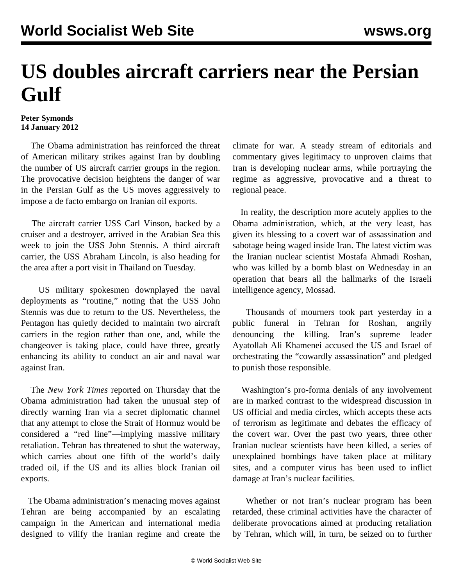## **US doubles aircraft carriers near the Persian Gulf**

## **Peter Symonds 14 January 2012**

 The Obama administration has reinforced the threat of American military strikes against Iran by doubling the number of US aircraft carrier groups in the region. The provocative decision heightens the danger of war in the Persian Gulf as the US moves aggressively to impose a de facto embargo on Iranian oil exports.

 The aircraft carrier USS Carl Vinson, backed by a cruiser and a destroyer, arrived in the Arabian Sea this week to join the USS John Stennis. A third aircraft carrier, the USS Abraham Lincoln, is also heading for the area after a port visit in Thailand on Tuesday.

 US military spokesmen downplayed the naval deployments as "routine," noting that the USS John Stennis was due to return to the US. Nevertheless, the Pentagon has quietly decided to maintain two aircraft carriers in the region rather than one, and, while the changeover is taking place, could have three, greatly enhancing its ability to conduct an air and naval war against Iran.

 The *New York Times* reported on Thursday that the Obama administration had taken the unusual step of directly warning Iran via a secret diplomatic channel that any attempt to close the Strait of Hormuz would be considered a "red line"—implying massive military retaliation. Tehran has threatened to shut the waterway, which carries about one fifth of the world's daily traded oil, if the US and its allies block Iranian oil exports.

 The Obama administration's menacing moves against Tehran are being accompanied by an escalating campaign in the American and international media designed to vilify the Iranian regime and create the climate for war. A steady stream of editorials and commentary gives legitimacy to unproven claims that Iran is developing nuclear arms, while portraying the regime as aggressive, provocative and a threat to regional peace.

 In reality, the description more acutely applies to the Obama administration, which, at the very least, has given its blessing to a covert war of assassination and sabotage being waged inside Iran. The latest victim was the Iranian nuclear scientist Mostafa Ahmadi Roshan, who was killed by a bomb blast on Wednesday in an operation that bears all the hallmarks of the Israeli intelligence agency, Mossad.

 Thousands of mourners took part yesterday in a public funeral in Tehran for Roshan, angrily denouncing the killing. Iran's supreme leader Ayatollah Ali Khamenei accused the US and Israel of orchestrating the "cowardly assassination" and pledged to punish those responsible.

 Washington's pro-forma denials of any involvement are in marked contrast to the widespread discussion in US official and media circles, which accepts these acts of terrorism as legitimate and debates the efficacy of the covert war. Over the past two years, three other Iranian nuclear scientists have been killed, a series of unexplained bombings have taken place at military sites, and a computer virus has been used to inflict damage at Iran's nuclear facilities.

 Whether or not Iran's nuclear program has been retarded, these criminal activities have the character of deliberate provocations aimed at producing retaliation by Tehran, which will, in turn, be seized on to further